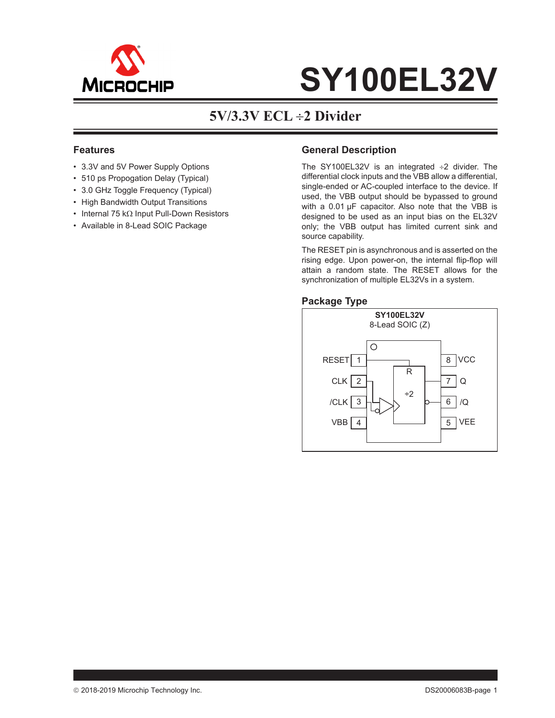

### **5V/3.3V ECL 2 Divider**

### **Features**

- 3.3V and 5V Power Supply Options
- 510 ps Propogation Delay (Typical)
- 3.0 GHz Toggle Frequency (Typical)
- High Bandwidth Output Transitions
- Internal 75 k $\Omega$  Input Pull-Down Resistors
- Available in 8-Lead SOIC Package

### **General Description**

The SY100EL32V is an integrated  $\div 2$  divider. The differential clock inputs and the VBB allow a differential, single-ended or AC-coupled interface to the device. If used, the VBB output should be bypassed to ground with a 0.01 μF capacitor. Also note that the VBB is designed to be used as an input bias on the EL32V only; the VBB output has limited current sink and source capability.

The RESET pin is asynchronous and is asserted on the rising edge. Upon power-on, the internal flip-flop will attain a random state. The RESET allows for the synchronization of multiple EL32Vs in a system.

### **Package Type**

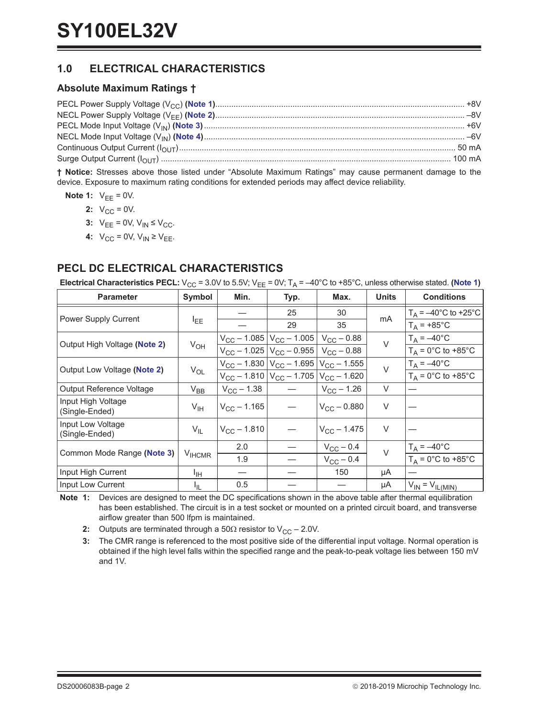### **1.0 ELECTRICAL CHARACTERISTICS**

### **Absolute Maximum Ratings †**

**† Notice:** Stresses above those listed under "Absolute Maximum Ratings" may cause permanent damage to the device. Exposure to maximum rating conditions for extended periods may affect device reliability.

- <span id="page-1-5"></span><span id="page-1-2"></span><span id="page-1-1"></span>**Note 1:**  $V_{EE} = 0V$ .
	- **2:**  $V_{CC} = 0V$ .
	- **3:**  $V_{EE} = 0V$ ,  $V_{IN} \leq V_{CC}$ .
	- **4:**  $V_{CC} = 0V$ ,  $V_{IN} \geq V_{EE}$ .

### <span id="page-1-7"></span><span id="page-1-6"></span>**PECL DC ELECTRICAL CHARACTERISTICS**

**Electrical Characteristics PECL:**  $V_{CC}$  = 3.0V to 5.5V;  $V_{EE}$  = 0V;  $T_A$  = -40°C to +85°C, unless otherwise stated. ([Note](#page-1-0) 1)

| <b>Parameter</b>                     | Symbol            | Min.                 | Typ.                                                  | Max.                                                             | <b>Units</b> | <b>Conditions</b>                                 |
|--------------------------------------|-------------------|----------------------|-------------------------------------------------------|------------------------------------------------------------------|--------------|---------------------------------------------------|
|                                      |                   |                      | 25                                                    | 30                                                               |              | $T_A = -40^{\circ}$ C to +25°C                    |
| Power Supply Current                 | <b>LEE</b>        |                      | 29                                                    | 35                                                               | mA           | $T_A$ = +85°C                                     |
| Output High Voltage (Note 2)         | $V_{OH}$          |                      | $V_{CC}$ – 1.085 $ V_{CC}$ – 1.005 $ V_{CC}$ – 0.88   |                                                                  | $\vee$       | $T_A = -40$ °C                                    |
|                                      |                   |                      | $V_{CC}$ – 1.025   $V_{CC}$ – 0.955   $V_{CC}$ – 0.88 |                                                                  |              | $T_A = 0^\circ \text{C}$ to +85 $^\circ \text{C}$ |
|                                      |                   |                      |                                                       | $V_{\rm CC}$ – 1.830 $ V_{\rm CC}$ – 1.695 $ V_{\rm CC}$ – 1.555 | $\vee$       | $T_A = -40^{\circ}C$                              |
| Output Low Voltage (Note 2)          | $V_{OL}$          |                      |                                                       | $V_{CC}$ – 1.810 $V_{CC}$ – 1.705 $V_{CC}$ – 1.620               |              | $T_A = 0$ °C to +85°C                             |
| Output Reference Voltage             | $V_{BB}$          | $V_{\rm CC}$ – 1.38  |                                                       | $V_{CC}$ – 1.26                                                  | $\vee$       |                                                   |
| Input High Voltage<br>(Single-Ended) | $V_{\text{IH}}$   | $V_{\rm CC}$ – 1.165 |                                                       | $V_{\text{CC}} - 0.880$                                          | $\vee$       |                                                   |
| Input Low Voltage<br>(Single-Ended)  | $V_{IL}$          | $V_{\rm CC}$ – 1.810 |                                                       | $V_{\rm CC}$ – 1.475                                             | $\vee$       |                                                   |
| Common Mode Range (Note 3)           | V <sub>HCMR</sub> | 2.0                  |                                                       | $V_{\rm CC}$ – 0.4                                               | $\vee$       | $T_A = -40^{\circ}C$                              |
|                                      |                   | 1.9                  |                                                       | $V_{CC}$ – 0.4                                                   |              | $T_A = 0$ °C to +85°C                             |
| Input High Current                   | ŀщ                |                      |                                                       | 150                                                              | μA           |                                                   |
| Input Low Current                    | I <sub>IL</sub>   | 0.5                  |                                                       |                                                                  | μA           | $V_{IN} = V_{IL(MIN)}$                            |

<span id="page-1-0"></span>**Note 1:** Devices are designed to meet the DC specifications shown in the above table after thermal equilibration has been established. The circuit is in a test socket or mounted on a printed circuit board, and transverse airflow greater than 500 lfpm is maintained.

<span id="page-1-3"></span>**2:** Outputs are terminated through a 50 $\Omega$  resistor to  $V_{CC} - 2.0V$ .

<span id="page-1-4"></span>**3:** The CMR range is referenced to the most positive side of the differential input voltage. Normal operation is obtained if the high level falls within the specified range and the peak-to-peak voltage lies between 150 mV and 1V.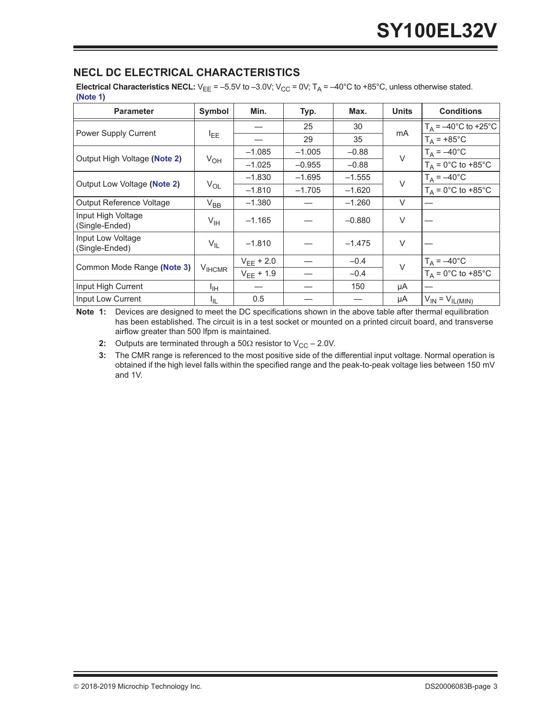### <span id="page-2-3"></span>**NECL DC ELECTRICAL CHARACTERISTICS**

**Electrical Characteristics NECL:**  $V_{EE} = -5.5V$  to  $-3.0V$ ;  $V_{CC} = 0V$ ;  $T_A = -40^{\circ}C$  to  $+85^{\circ}C$ , unless otherwise stated. **([Note](#page-2-0) 1)**

| <b>Parameter</b>                     | <b>Symbol</b>      | Min.                     | Typ.     | Max.     | <b>Units</b>         | <b>Conditions</b>              |
|--------------------------------------|--------------------|--------------------------|----------|----------|----------------------|--------------------------------|
|                                      |                    |                          | 25       | 30       |                      | $T_A = -40^{\circ}$ C to +25°C |
| <b>Power Supply Current</b>          | <b>LEE</b>         |                          | 29       | 35       | mA                   | $T_A = +85^{\circ}C$           |
| Output High Voltage (Note 2)         |                    | $-1.085$                 | $-1.005$ | $-0.88$  | $\vee$               | $T_A = -40$ °C                 |
|                                      | $V_{OH}$           | $-1.025$                 | $-0.955$ | $-0.88$  |                      | $T_A = 0$ °C to +85°C          |
| Output Low Voltage (Note 2)          |                    | $-1.830$                 | $-1.695$ | $-1.555$ | $\vee$               | $T_A = -40$ °C                 |
|                                      | $V_{OL}$           | $-1.810$                 | $-1.705$ | $-1.620$ |                      | $T_A = 0$ °C to +85°C          |
| Output Reference Voltage             | $V_{BB}$           | $-1.380$                 |          | $-1.260$ | $\vee$               |                                |
| Input High Voltage<br>(Single-Ended) | $V_{\text{IH}}$    | $-1.165$                 |          | $-0.880$ | V                    |                                |
| Input Low Voltage<br>(Single-Ended)  | $V_{IL}$           | $-1.810$                 |          | $-1.475$ | $\vee$               |                                |
| Common Mode Range (Note 3)           | $V_{\text{IHCMR}}$ | $-0.4$<br>$V_{FF}$ + 2.0 |          | $\vee$   | $T_A = -40^{\circ}C$ |                                |
|                                      |                    | $V_{EE}$ + 1.9           |          | $-0.4$   |                      | $T_A = 0$ °C to +85°C          |
| Input High Current                   | ŀщ                 |                          |          | 150      | μA                   |                                |
| Input Low Current                    | I <sub>IL</sub>    | 0.5                      |          |          | μA                   | $V_{IN} = V_{IL(MIN)}$         |

<span id="page-2-0"></span>**Note 1:** Devices are designed to meet the DC specifications shown in the above table after thermal equilibration has been established. The circuit is in a test socket or mounted on a printed circuit board, and transverse airflow greater than 500 lfpm is maintained.

<span id="page-2-1"></span>**2:** Outputs are terminated through a 50 $\Omega$  resistor to  $V_{CC} - 2.0V$ .

<span id="page-2-2"></span>**3:** The CMR range is referenced to the most positive side of the differential input voltage. Normal operation is obtained if the high level falls within the specified range and the peak-to-peak voltage lies between 150 mV and 1V.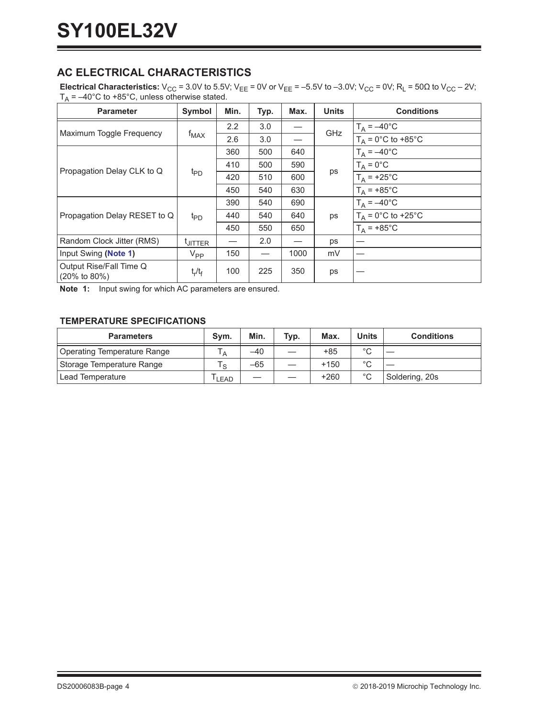### **AC ELECTRICAL CHARACTERISTICS**

**Electrical Characteristics:**  $V_{CC} = 3.0V$  to 5.5V;  $V_{EE} = 0V$  or  $V_{EE} = -5.5V$  to  $-3.0V$ ;  $V_{CC} = 0V$ ;  $R_L = 50\Omega$  to  $V_{CC} - 2V$ ;  $T_A = -40^{\circ}$ C to +85°C, unless otherwise stated.

| <b>Parameter</b>                                     | <b>Symbol</b>       | Min. | Typ. | Max. | <b>Units</b> | <b>Conditions</b>     |
|------------------------------------------------------|---------------------|------|------|------|--------------|-----------------------|
| Maximum Toggle Frequency                             |                     | 2.2  | 3.0  |      | GHz          | $T_A = -40$ °C        |
|                                                      | $f_{MAX}$           | 2.6  | 3.0  |      |              | $T_A = 0$ °C to +85°C |
|                                                      |                     | 360  | 500  | 640  |              | $T_A = -40$ °C        |
|                                                      | $t_{\text{PD}}$     | 410  | 500  | 590  |              | $T_A = 0$ °C          |
| Propagation Delay CLK to Q                           |                     | 420  | 510  | 600  | ps           | $T_A$ = +25°C         |
|                                                      |                     | 450  | 540  | 630  |              | $T_A$ = +85°C         |
|                                                      |                     | 390  | 540  | 690  | ps           | $T_A = -40$ °C        |
| Propagation Delay RESET to Q                         | t <sub>PD</sub>     | 440  | 540  | 640  |              | $T_A = 0$ °C to +25°C |
|                                                      |                     | 450  | 550  | 650  |              | $T_A$ = +85°C         |
| Random Clock Jitter (RMS)                            | <sup>t</sup> JITTER |      | 2.0  |      | ps           |                       |
| Input Swing (Note 1)                                 | $V_{PP}$            | 150  |      | 1000 | mV           |                       |
| Output Rise/Fall Time Q<br>$(20\% \text{ to } 80\%)$ | $t_r/t_f$           | 100  | 225  | 350  | ps           |                       |

<span id="page-3-0"></span>**Note 1:** Input swing for which AC parameters are ensured.

### **TEMPERATURE SPECIFICATIONS**

| <b>Parameters</b>           | Svm.   | Min.  | Typ. | Max.   | <b>Units</b> | <b>Conditions</b> |
|-----------------------------|--------|-------|------|--------|--------------|-------------------|
| Operating Temperature Range |        | $-40$ | __   | $+85$  | $\sim$       |                   |
| Storage Temperature Range   | $\sim$ | $-65$ |      | $+150$ | $\sim$       |                   |
| Lead Temperature            | LEAD   |       |      | $+260$ | $\circ$      | Soldering, 20s    |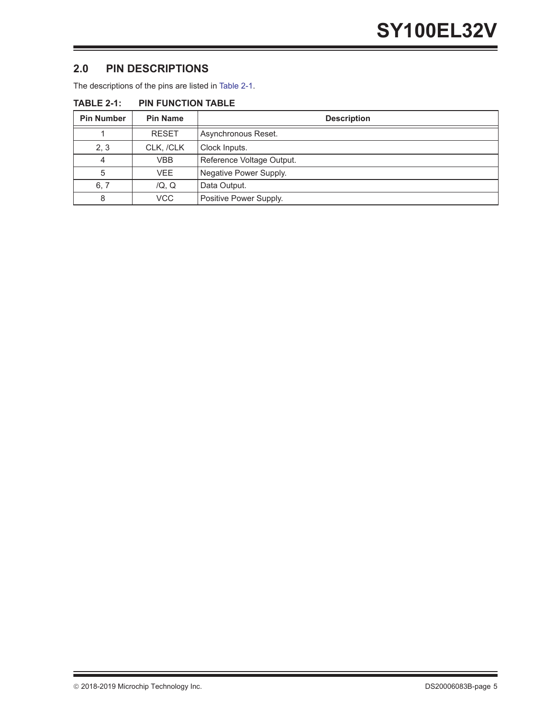### **2.0 PIN DESCRIPTIONS**

The descriptions of the pins are listed in [Table](#page-4-0) 2-1.

| <b>Pin Number</b> | <b>Pin Name</b> | <b>Description</b>        |
|-------------------|-----------------|---------------------------|
|                   | <b>RESET</b>    | Asynchronous Reset.       |
| 2, 3              | CLK, /CLK       | Clock Inputs.             |
| 4                 | VBB             | Reference Voltage Output. |
| 5                 | <b>VEE</b>      | Negative Power Supply.    |
| 6, 7              | /Q, Q           | Data Output.              |
| 8                 | <b>VCC</b>      | Positive Power Supply.    |

<span id="page-4-0"></span>**TABLE 2-1: PIN FUNCTION TABLE**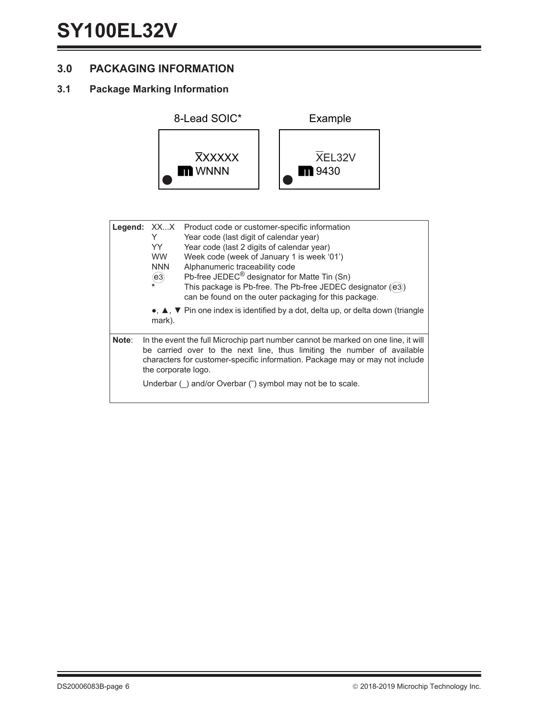### **3.0 PACKAGING INFORMATION**

### **3.1 Package Marking Information**



| Legend: | XX…X<br>Y<br>YY.<br><b>WW</b><br><b>NNN</b><br>$\left( e_3 \right)$<br>mark). | Product code or customer-specific information<br>Year code (last digit of calendar year)<br>Year code (last 2 digits of calendar year)<br>Week code (week of January 1 is week '01')<br>Alphanumeric traceability code<br>Pb-free JEDEC <sup>®</sup> designator for Matte Tin (Sn)<br>This package is Pb-free. The Pb-free JEDEC designator ((e3))<br>can be found on the outer packaging for this package.<br>$\bullet$ , $\blacktriangle$ , $\blacktriangledown$ Pin one index is identified by a dot, delta up, or delta down (triangle |
|---------|-------------------------------------------------------------------------------|--------------------------------------------------------------------------------------------------------------------------------------------------------------------------------------------------------------------------------------------------------------------------------------------------------------------------------------------------------------------------------------------------------------------------------------------------------------------------------------------------------------------------------------------|
| Note:   | the corporate logo.                                                           | In the event the full Microchip part number cannot be marked on one line, it will<br>be carried over to the next line, thus limiting the number of available<br>characters for customer-specific information. Package may or may not include<br>Underbar () and/or Overbar (-) symbol may not be to scale.                                                                                                                                                                                                                                 |
|         |                                                                               |                                                                                                                                                                                                                                                                                                                                                                                                                                                                                                                                            |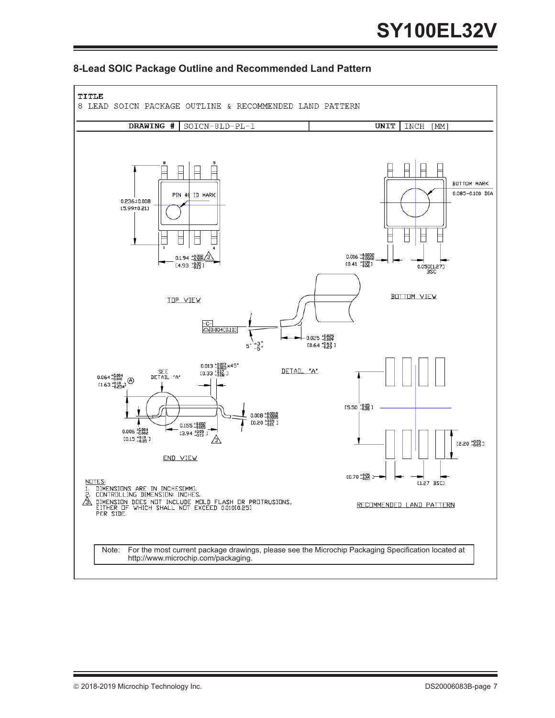

### **8-Lead SOIC Package Outline and Recommended Land Pattern**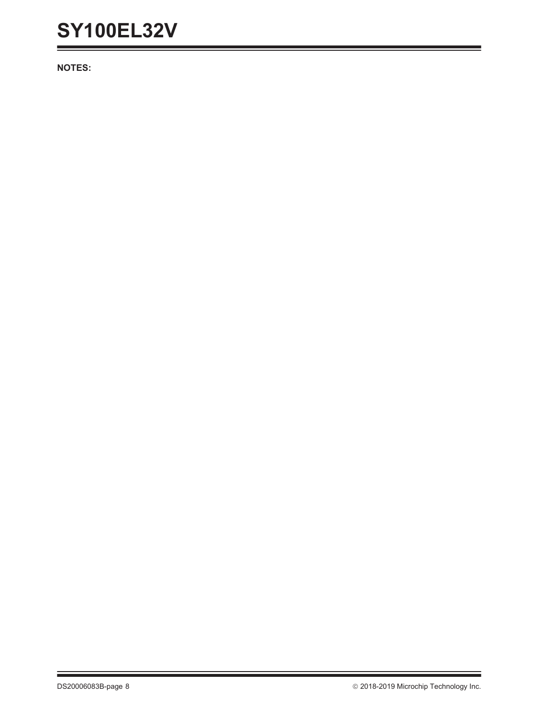**NOTES:**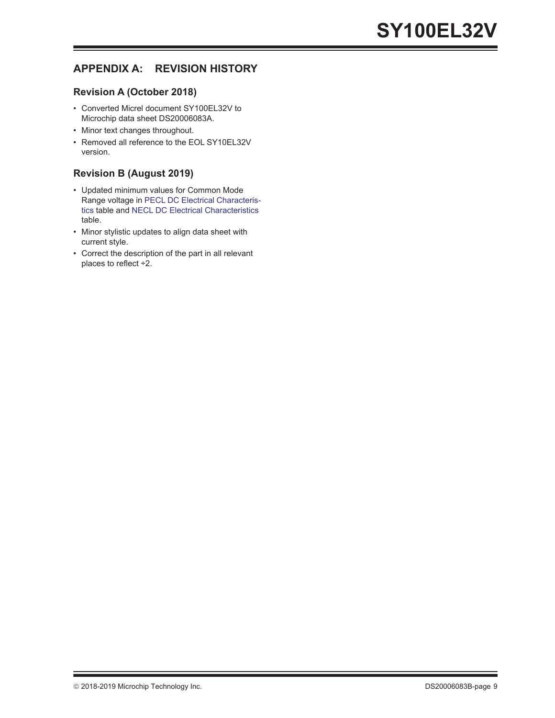### **APPENDIX A: REVISION HISTORY**

### **Revision A (October 2018)**

- Converted Micrel document SY100EL32V to Microchip data sheet DS20006083A.
- Minor text changes throughout.
- Removed all reference to the EOL SY10EL32V version.

### **Revision B (August 2019)**

- Updated minimum values for Common Mode Range voltage in [PECL DC Electrical Characteris](#page-1-7)[tics](#page-1-7) table and [NECL DC Electrical Characteristics](#page-2-3) table.
- Minor stylistic updates to align data sheet with current style.
- Correct the description of the part in all relevant places to reflect ÷2.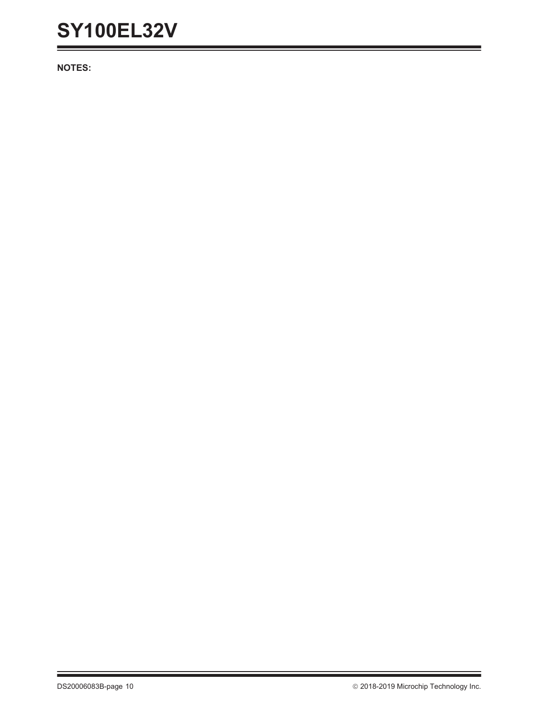**NOTES:**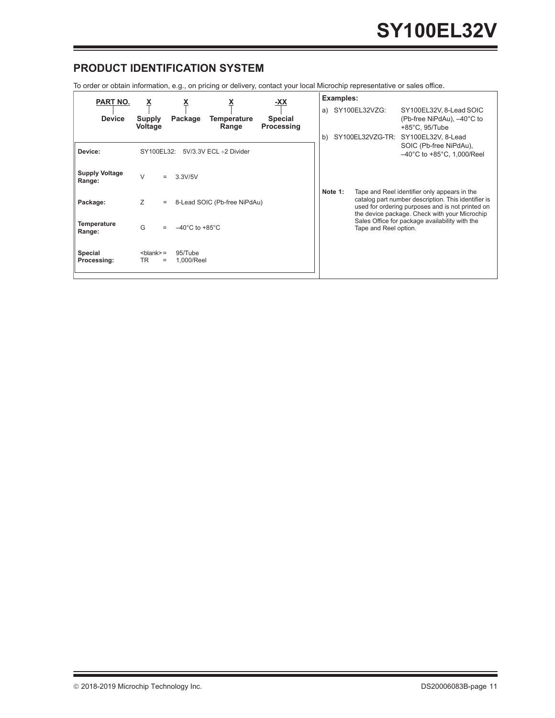### **PRODUCT IDENTIFICATION SYSTEM**

To order or obtain information, e.g., on pricing or delivery, contact your local Microchip representative or sales office.

| <b>PART NO.</b>                 | Ă                                 |                                    |                              | <u>-XX</u>                   |          | Examples: |                                   |                                                                                                                                                                                                          |
|---------------------------------|-----------------------------------|------------------------------------|------------------------------|------------------------------|----------|-----------|-----------------------------------|----------------------------------------------------------------------------------------------------------------------------------------------------------------------------------------------------------|
| <b>Device</b>                   | <b>Supply</b><br><b>Voltage</b>   | Package                            | Temperature<br>Range         | <b>Special</b><br>Processing | a)<br>b) |           | SY100EL32VZG:<br>SY100EL32VZG-TR: | SY100EL32V, 8-Lead SOIC<br>(Pb-free NiPdAu), -40°C to<br>$+85^{\circ}$ C, 95/Tube<br>SY100EL32V, 8-Lead                                                                                                  |
| Device:                         | SY100EL32:                        |                                    | 5V/3.3V ECL ÷2 Divider       |                              |          |           |                                   | SOIC (Pb-free NiPdAu),<br>$-40^{\circ}$ C to +85 $^{\circ}$ C, 1,000/Reel                                                                                                                                |
| <b>Supply Voltage</b><br>Range: | $\vee$                            | 3.3V/5V                            |                              |                              |          |           |                                   |                                                                                                                                                                                                          |
| Package:                        | Z<br>$=$                          |                                    | 8-Lead SOIC (Pb-free NiPdAu) |                              |          | Note 1:   |                                   | Tape and Reel identifier only appears in the<br>catalog part number description. This identifier is<br>used for ordering purposes and is not printed on<br>the device package. Check with your Microchip |
| <b>Temperature</b><br>Range:    | G                                 | $-40^{\circ}$ C to $+85^{\circ}$ C |                              |                              |          |           | Tape and Reel option.             | Sales Office for package availability with the                                                                                                                                                           |
| Special<br>Processing:          | $<$ blank $>$ =<br>TR<br>$\equiv$ | 95/Tube<br>1,000/Reel              |                              |                              |          |           |                                   |                                                                                                                                                                                                          |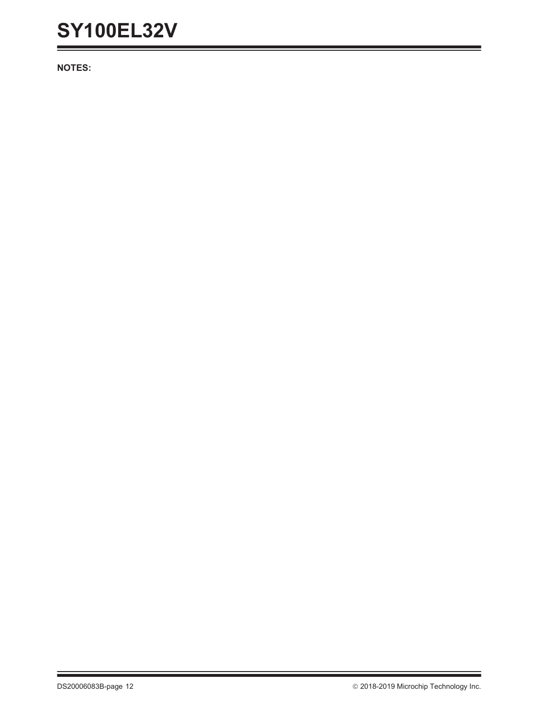**NOTES:**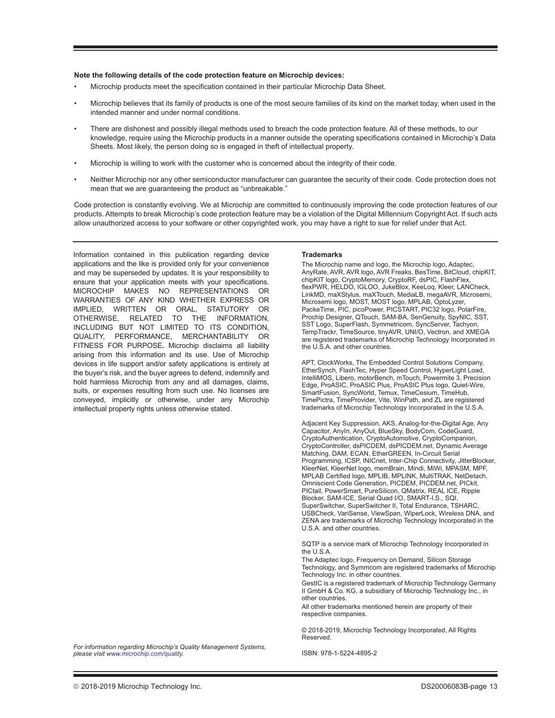#### **Note the following details of the code protection feature on Microchip devices:**

- Microchip products meet the specification contained in their particular Microchip Data Sheet.
- Microchip believes that its family of products is one of the most secure families of its kind on the market today, when used in the intended manner and under normal conditions.
- There are dishonest and possibly illegal methods used to breach the code protection feature. All of these methods, to our knowledge, require using the Microchip products in a manner outside the operating specifications contained in Microchip's Data Sheets. Most likely, the person doing so is engaged in theft of intellectual property.
- Microchip is willing to work with the customer who is concerned about the integrity of their code.
- Neither Microchip nor any other semiconductor manufacturer can guarantee the security of their code. Code protection does not mean that we are guaranteeing the product as "unbreakable."

Code protection is constantly evolving. We at Microchip are committed to continuously improving the code protection features of our products. Attempts to break Microchip's code protection feature may be a violation of the Digital Millennium Copyright Act. If such acts allow unauthorized access to your software or other copyrighted work, you may have a right to sue for relief under that Act.

Information contained in this publication regarding device applications and the like is provided only for your convenience and may be superseded by updates. It is your responsibility to ensure that your application meets with your specifications. MICROCHIP MAKES NO REPRESENTATIONS OR WARRANTIES OF ANY KIND WHETHER EXPRESS OR IMPLIED, WRITTEN OR ORAL, STATUTORY OR OTHERWISE, RELATED TO THE INFORMATION, INCLUDING BUT NOT LIMITED TO ITS CONDITION, QUALITY, PERFORMANCE, MERCHANTABILITY OR FITNESS FOR PURPOSE**.** Microchip disclaims all liability arising from this information and its use. Use of Microchip devices in life support and/or safety applications is entirely at the buyer's risk, and the buyer agrees to defend, indemnify and hold harmless Microchip from any and all damages, claims, suits, or expenses resulting from such use. No licenses are conveyed, implicitly or otherwise, under any Microchip intellectual property rights unless otherwise stated.

**Trademarks** The Microchip name and logo, the Microchip logo, Adaptec, AnyRate, AVR, AVR logo, AVR Freaks, BesTime, BitCloud, chipKIT, chipKIT logo, CryptoMemory, CryptoRF, dsPIC, FlashFlex, flexPWR, HELDO, IGLOO, JukeBlox, KeeLoq, Kleer, LANCheck, LinkMD, maXStylus, maXTouch, MediaLB, megaAVR, Microsemi, Microsemi logo, MOST, MOST logo, MPLAB, OptoLyzer, PackeTime, PIC, picoPower, PICSTART, PIC32 logo, PolarFire, Prochip Designer, QTouch, SAM-BA, SenGenuity, SpyNIC, SST, SST Logo, SuperFlash, Symmetricom, SyncServer, Tachyon, TempTrackr, TimeSource, tinyAVR, UNI/O, Vectron, and XMEGA are registered trademarks of Microchip Technology Incorporated in the U.S.A. and other countries.

APT, ClockWorks, The Embedded Control Solutions Company, EtherSynch, FlashTec, Hyper Speed Control, HyperLight Load, IntelliMOS, Libero, motorBench, mTouch, Powermite 3, Precision Edge, ProASIC, ProASIC Plus, ProASIC Plus logo, Quiet-Wire, SmartFusion, SyncWorld, Temux, TimeCesium, TimeHub, TimePictra, TimeProvider, Vite, WinPath, and ZL are registered trademarks of Microchip Technology Incorporated in the U.S.A.

Adjacent Key Suppression, AKS, Analog-for-the-Digital Age, Any Capacitor, AnyIn, AnyOut, BlueSky, BodyCom, CodeGuard, CryptoAuthentication, CryptoAutomotive, CryptoCompanion, CryptoController, dsPICDEM, dsPICDEM.net, Dynamic Average Matching, DAM, ECAN, EtherGREEN, In-Circuit Serial Programming, ICSP, INICnet, Inter-Chip Connectivity, JitterBlocker, KleerNet, KleerNet logo, memBrain, Mindi, MiWi, MPASM, MPF, MPLAB Certified logo, MPLIB, MPLINK, MultiTRAK, NetDetach, Omniscient Code Generation, PICDEM, PICDEM.net, PICkit, PICtail, PowerSmart, PureSilicon, QMatrix, REAL ICE, Ripple Blocker, SAM-ICE, Serial Quad I/O, SMART-I.S., SQI, SuperSwitcher, SuperSwitcher II, Total Endurance, TSHARC, USBCheck, VariSense, ViewSpan, WiperLock, Wireless DNA, and ZENA are trademarks of Microchip Technology Incorporated in the U.S.A. and other countries.

SQTP is a service mark of Microchip Technology Incorporated in the U.S.A.

The Adaptec logo, Frequency on Demand, Silicon Storage Technology, and Symmcom are registered trademarks of Microchip Technology Inc. in other countries.

GestIC is a registered trademark of Microchip Technology Germany II GmbH & Co. KG, a subsidiary of Microchip Technology Inc., in other countries.

All other trademarks mentioned herein are property of their respective companies.

© 2018-2019, Microchip Technology Incorporated, All Rights Reserved.

ISBN: 978-1-5224-4895-2

*[For information regarding Microchip's Quality Management Systems,](www.microchip.com/quality)  [please visit](www.microchip.com/quality) www.microchip.com/quality.*